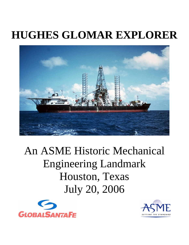# **HUGHES GLOMAR EXPLORER**



# An ASME Historic Mechanical Engineering Landmark Houston, Texas July 20, 2006



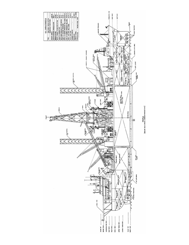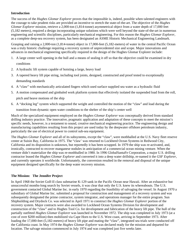#### **Introduction**

The success of the *Hughes Glomar Explorer* proves that the impossible is, indeed, possible when talented engineers with the courage to take prudent risks are provided an incentive to stretch the state-of-the-art. The objective of the *Hughes Glomar Explorer* mission, retrieve a 2,000-ton (1,814-tonne) asymmetrical object from a water depth of 17,000 feet (5,182 meters), required a design incorporating unique solutions which were well beyond the state-of-the-art in numerous engineering and scientific disciplines, particularly mechanical engineering. For this reason the *Hughes Glomar Explorer*, as a complete deep-sea recovery system, has been designated an ASME Historic Mechanical Engineering Landmark.

Grasping and raising a 2,000-ton (1,814-tonne) object in 17,000-feet (5,182-meters) of water in the central Pacific Ocean was a truly historic challenge requiring a recovery system of unprecedented size and scope. Major innovations and advances in mechanical engineering specifically required in the design of the Hughes Glomar Explorer include:

- 1. A large center well opening in the hull and a means of sealing it off so that the objective could be examined in dry conditions
- 2. A hydraulic lift system capable of hoisting a large, heavy load
- 3. A tapered heavy lift pipe string, including tool joints, designed, constructed and proof tested to exceptionally demanding standards
- 4. A "claw" with mechanically articulated fingers which used surface supplied sea water as a hydraulic fluid
- 5. A motion compensated and gimbaled work platform system that effectively isolated the suspended load from the roll, pitch and heave motions of the ship
- 6. A "docking leg" system which supported the weight and controlled the motion of the "claw" and load during the

transition from dynamic open water conditions to the shelter of the ship's center well

Much of the specialized equipment employed on the *Hughes Glomar Explorer* was conceptually derived from standard drilling industry practice. The innovative, pragmatic application and adaptation of these concepts to meet the mission's specific needs, however, is a testament to sound, creative mechanical engineering practice. The engineering design and manufacturing capabilities resulting from this project are used today by the deepwater offshore petroleum industry, particularly the use of electrical power to control sub-sea equipment.

The *Hughes Glomar Explorer* and all of its subsystems, except the "claw", were mothballed at the U.S. Navy fleet reserve center at Suisin Bay, California in 1975. The "claw' was returned to Lockheed Ocean Systems in Redwood City, California and its disposition is unknown, but reportedly it has been scrapped. In 1979 the ship was re-activated, and, ironically, contracted to recover manganese nodules in anticipation of a commercial ocean mining venture. When the venture didn't materialize the ship was re-mothballed in 1980. In 1996 GlobalSantaFe Corporation, a major U.S. drilling contractor leased the *Hughes Glomar Explorer* and converted it into a deep water drillship, re-named it the *GSF Explorer*, and currently operates it worldwide. Unfortunately, the conversion resulted in the removal and disposal of the unique equipment designed specifically for the deep water recovery mission.

# **The Mission: The Jennifer Project**

In April 1968 the Soviet Golf-II class submarine K-129 sank in the Pacific Ocean near Hawaii. After an exhaustive but unsuccessful months-long search by Soviet vessels, it was clear that only the U.S. knew its whereabouts. The U.S. government contacted Global Marine Inc. in early 1970 regarding the feasibility of salvaging the vessel. In August 1970 a subsidiary of Global Marine Inc. submitted a proposal for construction and management of a recovery system and was subsequently designated the prime contractor, system integrator, and operations manager for the entire program. Sun Shipbuilding and Drydock Co. was selected in April 1971 to construct the *Hughes Glomar Explorer* portion of the recovery system. Major contracts were also awarded to Lockheed Ocean Systems Division for development and construction of the "claw" and to Hughes Tool Co. for development and fabrication of the heavy lift pipe. The hull of the partially outfitted *Hughes Glomar Explorer* was launched in November 1972. The ship was completed in July 1973 (at a cost of over \$200 million) then mobilized via Cape Horn to the U.S. West coast, arriving in September 1973. After loading the 17,000-feet (5,182-meters) of heavy lift pipe and mating the "claw", integrated sea trials were conducted off the California coast. In May 1974 the *Hughes Glomar Explorer* was declared ready for the mission and departed for location. The salvage mission commenced in July 1974 and was completed just five weeks later.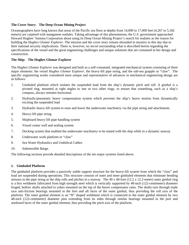# **The Cover Story: The Deep Ocean Mining Project**

Oceanographers have long known that areas of the Pacific sea floor at depths from 14,000 to 17,000 feet (4,267 to 5,182 meters) are carpeted with manganese nodules. Taking advantage of this phenomenon, the U.S. government approached Howard Hughes' Summa Corporation about using its Deep Ocean Mining Project's search for nodules as the reason for building the *Hughes Glomar Explorer*. The mission and the cover story remain shrouded in mystery to this day due to their national security implications. There is, however, no secret surrounding what is described herein regarding the specifications of the vessel and the great engineering challenges and unique solutions that are contained in her design and construction.

# **The Ship: The Hughes Glomar Explorer**

The *Hughes Glomar Explorer* was designed and built as a self-contained, integrated mechanical system consisting of three major elements: the vessel *Hughes Glomar Explorer*, the heavy-lift pipe string, and the sub-sea grapple or "claw". The specific engineering works considered most unique and representative of advances in mechanical engineering design are as follows:

- 1. Gimbaled platform which isolates the suspended load from the ship's dynamic pitch and roll. A gimbal is a pivoted ring, mounted at right angles to one or two other rings, to ensure that something, such as a ship's compass, always remains horizontal.
- 2. Hydraulic/pneumatic heave compensation system which prevents the ship's heave motion from dynamically exciting the suspended load
- 3. Hydraulic heavy-lift system to raise and lower the underwater machinery via the pipe string and attachments
- 4. Heavy-lift pipe string
- 5. Shipboard heavy-lift pipe handling system
- 6. Vessel center well and sealing system
- 7. Docking system that enabled the underwater machinery to be mated with the ship while in a dynamic seaway
- 8. Underwater work platform or "claw"
- 9. Sea Water Hydraulics and Umbilical Cables
- 10. Submersible Barge.

The following sections provide detailed descriptions of the ten major systems listed above.

# **1. Gimbaled Platform**

The gimbaled platform provides a passively stable support structure for the heavy-lift system from which the "claw" and load are suspended during operations. This structure consists of outer and inner gimbaled elements that eliminate bending stresses in the pipe string as the ship rolls and pitches in a seaway. The 40 x 40-foot (12.2 x 12.2-meter) outer gimbal ring is a box weldment fabricated from high strength steel which is vertically supported by 48-inch (122-centimeter) diameter forged, hollow shafts attached to yokes mounted on the top of the heave compensator rams. The shafts turn through triple race anti-friction bearings mounted in the fore and aft faces of the outer gimbal, thus providing the roll axis of the platform. The inner gimbal element is an "H" shaped weldment which is connected to the outer gimbal element by two 48-inch (122-centimeter) diameter pins extending from its sides through similar bearings mounted in the port and starboard faces of the outer gimbal element, thus providing the pitch axis of the platform.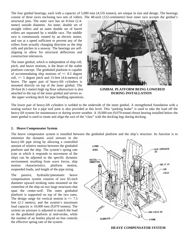The four gimbal bearings, each with a capacity of 5,000 tons (4,535 tonnes), are unique in size and design. The bearings consist of three races enclosing two sets of rollers. The 48-inch (122-centimeter) bore inner race accepts the gimbal's

structural pins. The outer race has an 8-foot (2.4 meter) outside diameter. An inner, double set of straight rollers and an outer double set of barrel rollers are separated by a middle race. The middle race is continuously rotated by an electric motor, and run at a speed sufficient to prevent any of the rollers from actually changing direction as the ship rolls and pitches in a seaway. The bearings are selfaligning to allow for structural deflections and construction tolerances.

The inner gimbal, which is independent of ship roll, pitch, and heave motions, is the heart of the stable platform concept. The gimbaled platform is capable of accommodating ship motions of  $+/- 8.5$  degree roll, +/- 5 degree pitch and 15-feet (4.6-meters) of heave. The upper pair of heavy-lift cylinders is mounted directly on top of the inner gimbal. The 20-foot (6.1-meter) high rig floor substructure is also **GIMBAL PLATFORM BEING LOWERED** attached to the top of the inner gimbal and serves as **DURING INSTALLATION** the upper working deck for pipe handling operations.



The lower pair of heavy-lift cylinders is welded to the underside of the inner gimbal. A strengthened foundation with a seating surface for a pipe tool joint is also provided at this level. This "parking brake" is used to take the load off the heavy-lift system for maintenance or during severe weather. A 10,000-ton (9,070-tonne) thrust bearing installed below the inner gimbal is used to rotate and align the axis of the "claw" with the docking legs during docking.

#### **2. Heave Compensator System**

The heave compensator system is installed between the gimbaled platform and the ship's structure. Its function is to

minimize the dynamic axial stresses in the heavy-lift pipe string by allowing a controlled amount of relative motion between the gimbaled platform and the ship. The system's spring rate (rate at which it responds to movement of the ship) can be adjusted to the specific dynamic environment resulting from wave forces, ship motion characteristics, platform motion, suspended loads, and length of the pipe string.

The passive, hydraulic/pneumatic heave compensation system consists of two 65-inch diameter upward stroking rams mounted on the centerline of the ship on two large structures that span the center-well. The outer gimbaled platform is supported on top of the two rams. The design range for vertical motion is  $+/- 7.5$ feet (2.3 meters), and the system's maximum load capacity is 10,000 tons (9,070 tonnes). The system air pressure is adjusted to match the load on the gimbaled platform at mid-stroke, while the number of air bottles placed on line controls the effective spring rate of the system.



**HEAVE COMPENSATOR SYSTEM**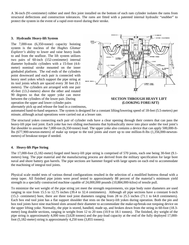A 36-inch (91-centimeter) rubber and steel flex joint installed on the bottom of each ram cylinder isolates the rams from structural deflections and construction tolerances. The rams are fitted with a patented internal hydraulic "snubber" to protect the system in the event of a rapid over-travel during their stroke.

#### **3. Hydraulic Heavy-lift System**

The 7,000-ton (6,350-tonne) capacity hoisting system is the nucleus of the *Hughes Glomar Explorer's* ability to lower and raise heavy loads to and from the seafloor. The lift system utilizes two pairs of 60-inch (152-centimeter) internal diameter hydraulic cylinders with a 15-foot (4.6 meter) nominal stroke mounted on the inner gimbaled platform. The rod ends of the cylinders point downward and each pair is connected with heavy steel yokes which support the pipe string at its tool joints which are spaced every 30 feet (9.1 meters). The cylinders are arranged with one pair 45-feet (13.2-meters) above the other and rotated 90 degrees so that the upper yoke can move between the cylinders of the lower pair. During **SECTION THROUGH HEAVY LIFT** operation the upper and lower cylinder pairs **(LOOKING FORE/AFT)**



alternately pick up and release the load in a continuous,

automated hand-to-hand sequence. The system is designed for a constant lifting/lowering speed of 18-feet (5.5-meters) per minute, although actual operations were carried out at a lesser rate.

The structural yokes connecting each pair of cylinder rods have a clear opening through their centers that can pass the heavy-lift pipe tool joint. Each yoke has two sliding mechanisms that hydraulically move into place under the tool joint's flat shoulder to assume the 7,000-ton (6,350-tonne) load. The upper yoke also contains a device that can apply 500,000-ftlbs (677,900-newton-meters) of make up torque to the tool joints and exert up to one million-ft-lbs (1,356,000-newtonmeters) of breakout torque if needed.

# **4. Heavy-lift Pipe String**

The 17,000-foot (5,182-meter) forged steel heavy-lift pipe string is comprised of 570 joints, each one being 30-feet (9.1 meters) long. The pipe material and the manufacturing process are derived from the military specification for large bore naval and shore battery gun barrels. The pipe sections are hammer forged with large upsets on each end to accommodate the machining of integral tool joints.

Physical scale model tests of various thread configurations resulted in the selection of a modified buttress thread with a steep taper. All finished pipe joints were proof tested to approximately 88 percent of the material's minimum yield strength in a specially constructed machine capable of 24,000,000 pounds (10,884,000-kilos) of tensile pull.

To minimize the wet weight of the pipe string yet meet the strength requirements, six pipe body outer diameters are used ranging in size from 15.5 to 12.75 inches (39.4 to 32.4 centimeters). Although all pipe sections have a constant 6-inch (15.2- centimeter) bore, there are three tool joint diameters ranging from 28 to 25.5 inches (71.1 to 64.8 centimeters). Each box end tool joint has a flat support shoulder that rests on the heavy-lift yokes during operation. Both the pin and box tool joints have nine machined slots around their diameter to accommodate the make-up/break-out torquing device on the upper lifting yoke. Normally, the pipe is stored, handled, made up, and broken down from the string in 60-foot (18.3 meter) long double sections, ranging in weight from 12 to 20 tons (10.9 to 18.1 tonnes). The finished, dry weight of the pipe string is approximately 4,000 tons (3,628 tonnes) and the pay-load capacity at the end of the fully deployed 17,000 foot (5,182-meter) string is approximately 4,250 tons (3,855 tonnes).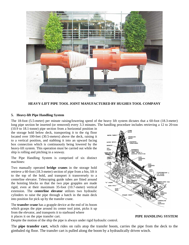

**HEAVY-LIFT PIPE TOOL JOINT MANUFACTURED BY HUGHES TOOL COMPANY** 

#### **5. Heavy-lift Pipe Handling System**

The 18-foot (5.5-meter) per minute raising/lowering speed of the heavy lift system dictates that a 60-foot (18.3-meter) long pipe section be inserted (or removed) every 3.3 minutes. The handling procedure includes retrieving a 12 to 20-ton

(10.9 to 18.1-tonne) pipe section from a horizontal position in the storage hold below deck, transporting it to the rig floor located over 100-feet (30.5-meters) above the deck, raising it to a vertical position, and stabbing it into an upward facing box connection which is continuously being lowered by the heavy-lift system. This operation must be carried out while the ship is rolling and pitching in a seaway.

The Pipe Handling System is comprised of six distinct machines:

Two manually operated **bridge cranes** in the storage hold retrieve a 60-foot (18.3-meter) section of pipe from a bin, lift it to the top of the hold, and transport it transversely to a centerline elevator. Telescoping guide tubes are fitted around the hoisting blocks so that the two pipe grapples are made rigid, even at their maximum 35-foot (10.7-meter) vertical extension. The **centerline elevator** utilizes two hydraulic cylinders to raise the pipe through a hatch in the main deck into position for pick up by the transfer crane.

The **transfer crane** has a grapple device at the end of its boom which grasps the pipe around its center tool joint, picks it up from the elevator, and transports it to starboard where it places it on the pipe transfer cart. **PIPE HANDLING SYSTEM** 

Despite the motion of the ship the pipe is always under rigid hydraulic control.

The **pipe transfer cart**, which rides on rails atop the transfer boom, carries the pipe from the deck to the gimbaled rig floor. The transfer cart is pulled along the boom by a hydraulically driven winch.

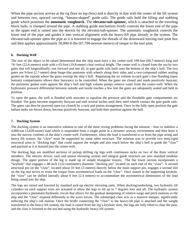When the pipe section arrives at the rig floor its top (box) end is directly in line with the center of the lift system and between two, upward curving, "banana-shaped" guide rails. The guide rails hold the lifting and stabbing guide which positions the **automatic roughneck**. The **elevator/sub-spinner,** which is attached to the traveling block bails, is clamped around the pipe. A stabbing guide mechanism firmly controls the lower end of the pipe as the upper end is raised into the derrick by the elevator/sub-spinner. The automatic roughneck controls the lower end of the pipe and guides it into vertical alignment with the heavy-lift pipe already in the system. The elevator/sub-spinner spins the pipe as it is lowered to engage the threads of the downward moving tool joint box and then applies approximately 50,000-ft-lbs (67,790-newton-meters) of torque to the tool joint.

#### **6. Docking Well**

The size of the object to be raised determined that the ship must have a dry center-well 199-feet (60.7-meters) long and 74- feet (22.6-meters) wide with a 65-foot (19.8-meter) clear vertical height. The center well is closed from the sea by two gates that roll longitudinally, one forward and one aft, in gate guide rails built onto the bottom of the ship's hull. The two gates are 9-foot (2.7-meter) deep barge-like pontoons with wheels along their sides and a two-compound rubber sealing gasket on the topside where the gates overlap the ship's hull. Regulating the air volume in each gate's free flooding (open bottom) compartments allows their buoyancy to be controlled. When the gates are closed and made positively buoyant, the perimeter gasket seals against the ship's hull and high volume pumps remove water from the center-well. When the hydrostatic pressure differential between outside and inside reaches a few feet the gates are adequately sealed and held in position.

To open the gates, the well is flooded with seawater to equalize the pressure and the floodable gate compartments are flooded. The gates become negatively buoyant and sink several inches until their steel wheels contact the gate guide rails. The gates can then be powered open (or closed) by a rack and pinion arrangement. Once in the fully open position the gate ballast tanks are blown down, become positively buoyant, and hold their position against the hull.

#### **7. Docking System**

The docking system is an innovative solution to one of the most vexing problems facing the mission – how to stabilize a 4,000-ton (3,628-tonne) load which is suspended from a single point in a dynamic seaway environment and then hoist it into the narrow confines of the ship's center-well. Furthermore, when the load is transferred to or from the pipe string and heavy lift system, the "claw" must be supported by some other structure. The solution was to provide two semi-rigid structural arms or "docking legs" that could support the weight and also reach below the ship's hull to guide the "claw" and payload as it is hoisted into the center-well.

The docking legs are modified sections of jackup drilling rig legs with continuous racks on two of the three vertical members. The electric driven, rack and pinion elevating system and integral guide structure are also standard modular design. The upper portion of the leg is made up of simple triangular trusses. The flat lower section incorporates a "keyhole" that engages a 48-inch (122-centimeter) diameter "docking pin" located on each end of the "claw". A second structural pin on the "claw", located about 10 feet (3 meters) directly below the main support pin, engages a second slot on the leg and serves to resist the torque from asymmetrical loads on the "claw". Once seated in the supporting keyhole, the "claw" can be shifted laterally about 8 feet (2.4 meters) to accommodate the asymmetrical dimensions of the load being raised into the ship.

The legs are raised and lowered by standard jack-up electric elevating units. When docking/undocking, two hydraulic tilt cylinders on each support truss are actuated to allow the legs to tilt up to 7 degrees fore and aft. The hydraulic system incorporates a pneumatic/hydraulic circuit that allows for the gradual dampening of relative surge and pitch motions as the ship and the "claw" respond differently to the wave forces. The submerged claw acts as a massive damper, significantly reducing the ship's roll motion. Once the bridle connecting the "claw" to the heavy-lift pipe is attached and the weight transferred to the heavy-lift system, the load is raised from the leg's keyhole slots, the legs are fully tilted to clear the pins, and the claw is lowered to the sea bed using the hydraulic heavy-lift system.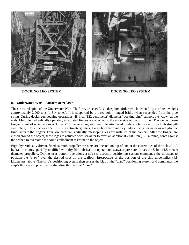





**DOCKING LEG SYSTEM DOCKING LEG SYSTEM** 

#### **8. Underwater Work Platform or "Claw"**

The structural spine of the Underwater Work Platform, or "claw", is a deep box girder which, when fully outfitted, weighs approximately 2,000 tons (1,814 tones). It is supported by a three-point, hinged bridle when suspended from the pipe string. During docking/undocking operations, 48-inch (122-centimeter) diameter "docking pins" support the "claw" at the ends. Multiple hydraulically operated, articulated fingers are attached to the underside of the box girder. The welded beam fingers, some of which are over 30 feet (9.1 meters) long with multiple articulated joints, are fabricated from high strength steel plate, 1 to 2 inches (2.53 to 5.08 centimeters) thick. Large bore hydraulic cylinders, using seawater as a hydraulic fluid, actuate the fingers. Four low pressure, vertically telescoping legs are installed at the corners. After the fingers are closed around the object, these legs are actuated with seawater to exert an additional 2,000-ton (1,814-tonne) force against the seabed to overcome the soil's embedment restraint on the object.

Eight hydraulically driven, fixed azimuth propeller thrusters are located on top of and at the extremities of the "claw". A hydraulic motor, specially modified with dry film lubricant to operate on seawater pressure, drives the 5-foot (1.5-meter) diameter propellers. During near bottom operations a sub-sea acoustic positioning system commands the thrusters to position the "claw" over the desired spot on the seafloor, irrespective of the position of the ship three miles (4.8 kilometers) above. The ship's positioning system then senses the bias in the "claw" positioning system and commands the ship's thrusters to position the ship directly over the "claw".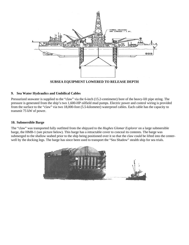

#### **SUBSEA EQUIPMENT LOWERED TO RELEASE DEPTH**

#### **9. Sea Water Hydraulics and Umbilical Cables**

Pressurized seawater is supplied to the "claw" via the 6-inch (15.2-centimeter) bore of the heavy-lift pipe string. The pressure is generated from the ship's two 1,600-HP oilfield mud pumps. Electric power and control wiring is provided from the surface to the "claw" via two 18,000-foot (5.5-kilometer) waterproof cables. Each cable has the capacity to transmit 75 kW of power.

#### **10. Submersible Barge**

The "claw" was transported fully outfitted from the shipyard to the *Hughes Glomar Explorer* on a large submersible barge, the HMB-1 (see picture below). This barge has a retractable cover to conceal its contents. The barge was submerged to the shallow seabed prior to the ship being positioned over it so that the claw could be lifted into the centerwell by the docking legs. The barge has since been used to transport the "Sea Shadow" stealth ship for sea trials.

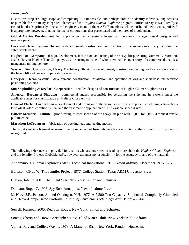### *Participants*

Due to this project's large scope and complexity it is impossible, and perhaps unfair, to identify individual engineers as responsible for the many integrated elements of the *Hughes Glomar Explorer* program. Suffice to say it was literally a cast of hundreds, primarily mechanical engineers, many of them ASME members, who contributed their own expertise. It is appropriate, however, to name the major corporations that participated and their area of involvement.

**Global Marine Development Inc**. – prime contractor, systems integrator, operations manager, vessel designer and marine operator.

**Lockheed Ocean Systems Division** – development, construction, and operation of the sub-sea machinery including the submersible barge.

**Hughes Tool Company** – design, development, fabrication, and testing of the heavy-lift pipe string. Summa Corporation, a subsidiary of Hughes Tool Company, was the surrogate "client" who provided the cover story of a commercial deep-sea manganese mining venture.

**Western Gear Corporation, Heavy Machinery Division** – development, construction, testing, and at-sea operation of the heavy lift and heave compensating systems.

**Honeywell Ocean Systems** – development, construction, installation, and operation of long and short base line acoustic positioning systems.

**Sun Shipbuilding & Drydock Corporation** – detailed design and construction of Hughes Glomar Explorer vessel.

**American Bureau of Shipping** – commercial agency responsible for certifying the ship and its systems meet the applicable rules for classification as Maltese Cross A1 – E.

**General Electric Corporation** – development and provision of the vessel's electrical components including a first-of-itskind 4160 volt distribution system and the first marine application of SCR variable speed drives.

**Battelle Memorial Institute –** proof testing of each section of the heavy-lift pipe with 12,000 ton (10,884 tonnes) tensile pull machine

**Marathon-LeTourneau –** fabrication of docking legs and jacking motors

The significant involvement of many other companies not listed above who contributed to the success of this project is recognized.

The following references are provided for visitors who are interested in reading more about the *Hughes Glomar Explorer* and the Jennifer Project. GlobalSantaFe, however, assumes no responsibility for the accuracy of any of the material.

Annonymous. Glomar Explorer's Many Technical Innovations. 1976. *Ocean Industry.* December 1976: 67-73.

Burleson, Clyde W. The Jennifer Project. 1977. College Station: Texas A&M University Press.

Craven, John P. 2001. The Silent War. New York: Simon and Schuster.

Dunham, Roger C. 1996. Spy Sub. Annapolis: Naval Institute Press.

McNary, J.F., Person, A., and Ozudogru, Y.H. 1977. A 7,500-Ton-Capacity, Shipboard, Completely Gimbaled and Heave-Compensated Platform. *Journal of Petroleum Technology* April 1977: 439-448.

Sewell, Kenneth. 2005. Red Star Rogue. New York: Simon and Schuster.

Sontag, Sherry and Drew, Christopher. 1998. Blind Man's Bluff. New York: Public Affairs.

Varner, Roy and Collier, Wayne. 1978. A Matter of Risk. New York: Random House, Inc.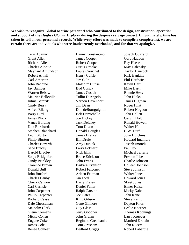**We wish to recognize Global Marine personnel who contributed to the design, construction, operation and support of the** *Hughes Glomar Explorer* **during the deep-sea salvage project***.* **Unfortunately, time has taken its toll on our personnel records. While every effort was made to compile a complete list, we are certain there are individuals who were inadvertently overlooked, and for that we apologize.** 

Terri Adamic Grant Allen Richard Allen Charles Alonjie Maynard Amundson Robert Arnall Carl Atherton John Bachino Jay Bamber Warren Bebow Maurice Belleville Julius Berczik Cindy Berry Alfred Bilang Barry Bird James Black Vance Bolding Don Borchardt Stephen Blanchard Leon Blurton Philip Blurton Charles Bozarth Sebe Bracey Harold Bradley Sonja Bridgeforth Cindy Brinkley Clarence Brown Donald Bull John Burford Charles Canby Chuck Cannon Carl Carlisle John Carpenter Philip Carpenter Richard Casse Dale Cheeseman Malcolm Clark Glenn Clemens Micky Cohen Eugene Coke James Cole Renee Comeau

Danny Constantino James Cooper Robert Cooper Curtis Crooke Laura Crouchet Henry Cuffle Jim Culp Malcolm Currie Bud Cusick James Cusick Tullio D'Angelo Vernon Davenport Jim Dean Don deBourguignon Bob Demichelle Joe Dickey Jack Delaney Tom Dixon Donald Douglas James Drahos Bill Druitt Amy Dubick Larry Eckhardt Nick Ellis Bruce Erickson John Evans Barbara Evenson Robert Falconer Arleen Feltman Jan Ford Harry Fraley Daniel Fuller Ralph Garside Joe Gates King Gibson Gene Gilmore Guy Glass Jerry Goodner John Grahm Reginald Greatbanks Tom Gresham Bedford Griggs

Joseph Guzzardi Gary Haddon Ray Haese Max Halebsky Taylor Hancock Kirk Hankins Phil Hardwick Kevin Hart Mike Hartt Bonnie Hess John Hicks James Higman Roger Hnat Robert Hogdon John Hollett Garvin Holt Ronald Howell Walter Hull C.W. Hurd John Hutchins Howard Imamura Joseph Imondi Paul Ito Michael Jefferis Preston Jobe Charlie Johnson Colleen Johnson Steve Johnson Walter Jones Howard Jones Skeet Jones Elmer Kaiser Micky Kahn John Kane Steve Kemp Dayton Knorr Leslie Koerner Thomas Koonings Larry Krueger Manfred Krutain John Kucera Robert Labarthe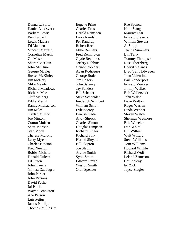Donna LaPorte Daniel Landsverk Barbara Lewis Ben Luttrell Lewis Madara Ed Madden Vincent Martelli Cornelius Martin Gil Mason Sharon McCain John McClure George McKee Russel McKinley Jim McNary Mike Meade Richard Meadows Richard Mee Cliff Melberg Eddie Merril Randy Michaelson Jim Miles Gaylan Million Joe Minton Cotton Moffett Scott Monson Stan Moon Therese Murphy Larry Myers Charles Newton Fred Newton Bobby Nichols Donald Oulette Ed Outen John Owens Yilmaz Ozadugru John Parker John Parsons David Pasho Jal Patell Wayne Pendleton Abe Person Luis Pettus James Phillips Thomas Phillips Jr. Eugene Prino Charles Prose Harold Ramsden Larry Randall Per Randrup Robert Reed Mike Reimers Fred Remington Clyde Reynolds Jeffery Robbins Chuck Robidart Adan Rodriguez George Rodts Jim Rogers John Salancy Jay Sanders Bill Schaper Steve Schneider Frederick Schubert William Schutt Lyle Seerey Ben Shimada Andy Shrock Charles Simons Douglas Simpson Richard Singer Richard Sink Harold Sinyard Bill Skipton Joe Slevin Archie Smith Sybil Smith Edward Smith Weston Smith Oran Spencer

Rae Spencer Knut Stang Maurice Star Edward Stevens William Stevens A. Stupp Jeanna Summers Bill Terry Tommy Thompson Russ Thornberg Cheryl Valanes Brad Van Hofwegen John Valentine Earl Vanderport Edward Voelker Jimmy Walker Bob Wallerstadt John Walsh Dave Walton Roger Warren Linda Webber Steven Welch Sherman Wetmore Bob Wheeler Don White Bill Wilbur Walt Willard Steve Williams Tom Williams Howard Winkle Richard Wolf Leland Zanteson Gail Zeleny Ed Zick Joyce Ziegler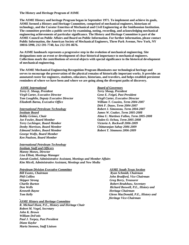#### **The History and Heritage Program of ASME**

**The ASME History and heritage Program began in September 1971. To implement and achieve its goals, ASME formed a History and Heritage Committee, comprised of mechanical engineers, historians of technology, and the Curator Emeritus of Mechanical and Civil Engineering at the Smithsonian Institution. The committee provides a public service by examining, noting, recording, and acknowledging mechanical engineering achievements of particular significance. The History and Heritage Committee is part of the ASME Council on Public Affairs and Board on Public Information. For further information, please contact Public Information, the American Society of Mechanical Engineers, Three Park Avenue, New York, NY 10016-5990, 212-591-7740, fax 212-591-8676.** 

**An ASME landmark represents a progressive step in the evolution of mechanical engineering. Site designations note an event or development of clear historical importance to mechanical engineers. Collections mark the contributions of several objects with special significance to the historical development of mechanical engineering.** 

**The ASME Mechanical Engineering Recognition Program illuminates our technological heritage and serves to encourage the preservation of the physical remains of historically important works. It provides an annotated roster for engineers, students, educators, historians, and travelers, and helps establish persistent reminders of where we have been and where we are going along the divergent paths of discovery.** 

*ASME International Board of Governors Terry E. Shoup, President Terry Shoup, President Virgil Carter, Executive Director* Gene E. Feigel, Past President **Gene** E. Feigel, Past President *Tom Loughlin, Deputy Executive Director Virgil Carter, Executive Director Elizabeth Barna, Executive Office William T. Cousins, Term 2004-2007* 

# *Institute Board James W. Coaker, Term 2005-2008 Joe Fowler, Board Member Ozden O. Ochoa, Term 2005-2008 Terry Lechinger, Board Member Victoria A. Rockwell 2006-2009 Denby Morrison, Board Member Chittaranjan Sahay 2006-2009 Edmund Seiders, Board Member Robert T. Simmons 2006-2009 George Wolfe, Board Member*

 *Dirk F. Dauw, Term 2004-2007 International Petroleum Technology Robert J. Simoneau, Term 2004-2007 Bobby Grimes, Chair Alma U. Martinez Fallon, Term 2005-2008* 

#### *International Petroleum Technology Institute Staff and Officers*

*Ken Paulson, Board Member* 

*Manny Mones, Director Lisa Elliott, Meetings Manager Amrah Goebel, Administrative Assistant, Meetings and Member Affairs Kim Miceli, Administrative Assistant, Meetings and New Media* 

#### *Petroleum Division Executive Committee ASME South Texas Section*

*Bill Eustes, Chairman Bill Eustes, Chairman Ryan Schmidt, Chairman Skipper Strong Greg Berry, Treasurer Charlie Burton Robert Bradshaw, Secretary Kenneth Bayne Kenneth Bayne Kenneth Bayne Heritage Chairman* 

*ASME History and Heritage Committee R. Michael Hunt, P.E., History and Heritage Chair Robert M. Vogel, Secretary John K. Brown William DeFotis Paul J. Torpey, Past President Diane Kaylor Maria Stennos, Staff Liaison* 

*Phil Collins John Bradford, Vice Chairman Don Wells Richard Boswell, P.E., History and Tom Kelly Glenn MacDonald, P.E., History and Heritage Vice-Chairman*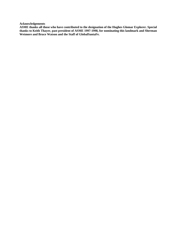**Acknowledgements** 

**ASME thanks all those who have contributed to the designation of the Hughes Glomar Explorer. Special thanks to Keith Thayer, past president of ASME 1997-1998, for nominating this landmark and Sherman Wetmore and Bruce Watson and the Staff of GlobalSantaFe.**